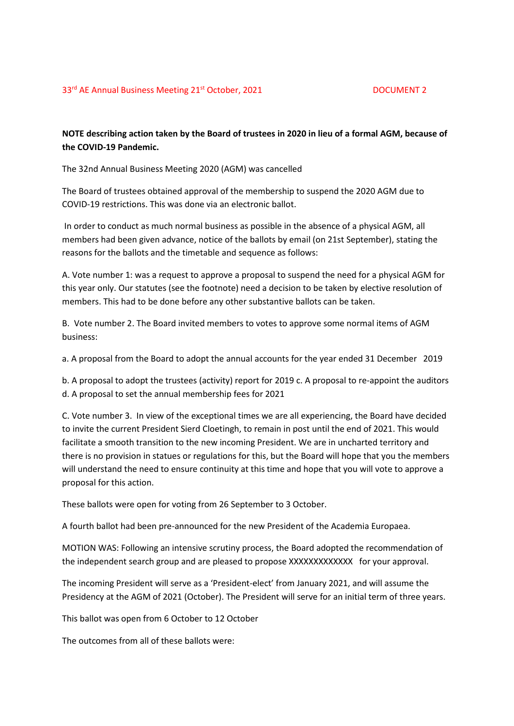## **NOTE describing action taken by the Board of trustees in 2020 in lieu of a formal AGM, because of the COVID-19 Pandemic.**

The 32nd Annual Business Meeting 2020 (AGM) was cancelled

The Board of trustees obtained approval of the membership to suspend the 2020 AGM due to COVID-19 restrictions. This was done via an electronic ballot.

In order to conduct as much normal business as possible in the absence of a physical AGM, all members had been given advance, notice of the ballots by email (on 21st September), stating the reasons for the ballots and the timetable and sequence as follows:

A. Vote number 1: was a request to approve a proposal to suspend the need for a physical AGM for this year only. Our statutes (see the footnote) need a decision to be taken by elective resolution of members. This had to be done before any other substantive ballots can be taken.

B. Vote number 2. The Board invited members to votes to approve some normal items of AGM business:

a. A proposal from the Board to adopt the annual accounts for the year ended 31 December 2019

b. A proposal to adopt the trustees (activity) report for 2019 c. A proposal to re-appoint the auditors d. A proposal to set the annual membership fees for 2021

C. Vote number 3. In view of the exceptional times we are all experiencing, the Board have decided to invite the current President Sierd Cloetingh, to remain in post until the end of 2021. This would facilitate a smooth transition to the new incoming President. We are in uncharted territory and there is no provision in statues or regulations for this, but the Board will hope that you the members will understand the need to ensure continuity at this time and hope that you will vote to approve a proposal for this action.

These ballots were open for voting from 26 September to 3 October.

A fourth ballot had been pre-announced for the new President of the Academia Europaea.

MOTION WAS: Following an intensive scrutiny process, the Board adopted the recommendation of the independent search group and are pleased to propose XXXXXXXXXXXXX for your approval.

The incoming President will serve as a 'President-elect' from January 2021, and will assume the Presidency at the AGM of 2021 (October). The President will serve for an initial term of three years.

This ballot was open from 6 October to 12 October

The outcomes from all of these ballots were: